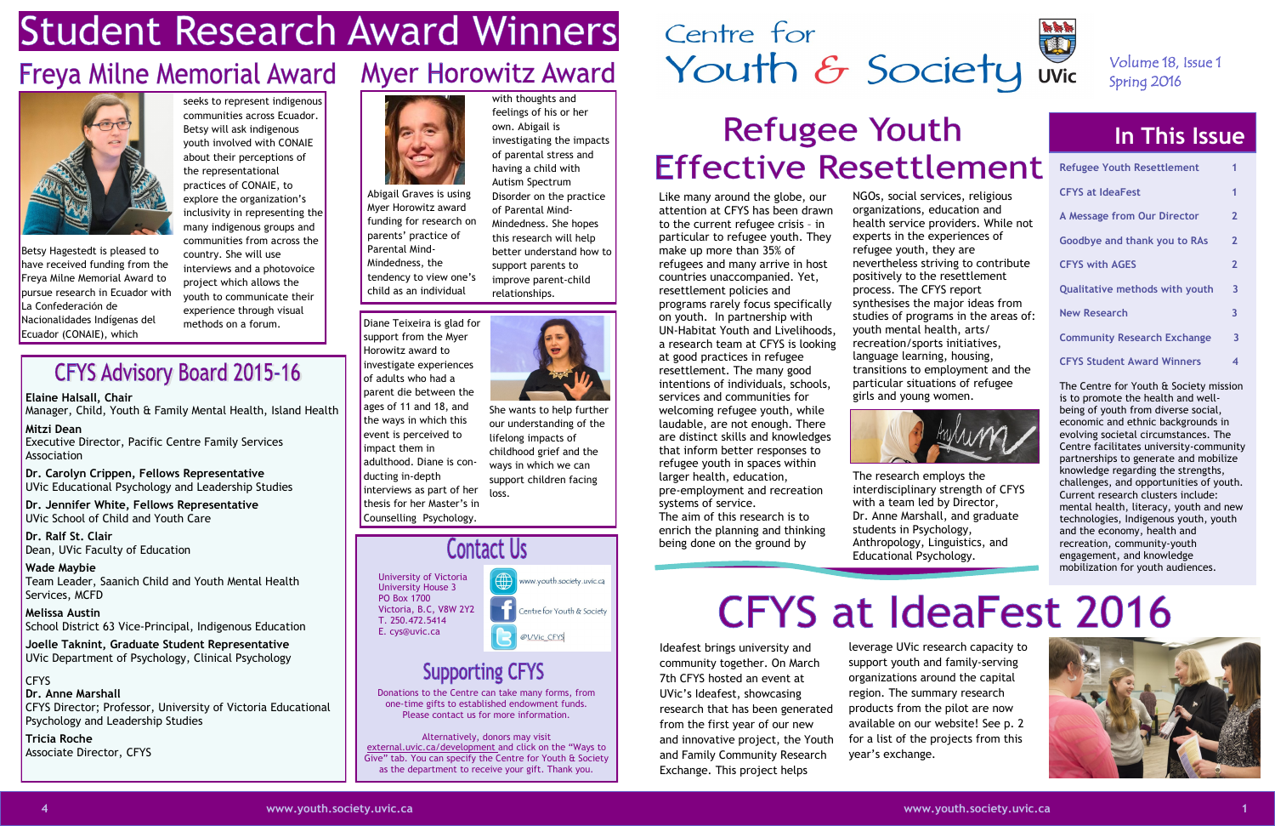## **Student Research Award Winners**

## Freya Milne Memorial Award Myer Horowitz Award



### **In This Issue**

| <b>Refugee Youth Resettlement</b>     | 1              |
|---------------------------------------|----------------|
| <b>CFYS at IdeaFest</b>               | 1              |
| A Message from Our Director           | $\overline{2}$ |
| <b>Goodbye and thank you to RAs</b>   | $\overline{2}$ |
| <b>CFYS with AGES</b>                 | $\overline{2}$ |
| <b>Qualitative methods with youth</b> | 3              |
| <b>New Research</b>                   | 3              |
| <b>Community Research Exchange</b>    | 3              |
| <b>CFYS Student Award Winners</b>     | 4              |

The Centre for Youth & Society mission is to promote the health and wellbeing of youth from diverse social, economic and ethnic backgrounds in evolving societal circumstances. The Centre facilitates university-community partnerships to generate and mobilize knowledge regarding the strengths, challenges, and opportunities of youth. Current research clusters include: mental health, literacy, youth and new technologies, Indigenous youth, youth and the economy, health and recreation, community-youth engagement, and knowledge mobilization for youth audiences.





University of Victoria University House 3 PO Box 1700 Victoria, B.C, V8W 2Y2 T. 250.472.5414 E. cys@uvic.ca



### **Supporting CFYS**

Donations to the Centre can take many forms, from one-time gifts to established endowment funds. Please contact us for more information.

Alternatively, donors may visit external.uvic.ca/development and click on the "Ways to Give" tab. You can specify the Centre for Youth & Society as the department to receive your gift. Thank you.

## Centre for Centre for<br>Youth & Society Wic

## **Refugee Youth Effective Resettlement**

### Volume 18, Issue 1 Spring 2016

NGOs, social services, religious organizations, education and health service providers. While not experts in the experiences of refugee youth, they are nevertheless striving to contribute positively to the resettlement process. The CFYS report synthesises the major ideas from studies of programs in the areas of: youth mental health, arts/ recreation/sports initiatives, language learning, housing, transitions to employment and the particular situations of refugee girls and young women.



interdisciplinary strength of CFYS



The research employs the with a team led by Director, Dr. Anne Marshall, and graduate students in Psychology, Anthropology, Linguistics, and Educational Psychology.

# **CFYS at IdeaFest 2016**

Like many around the globe, our attention at CFYS has been drawn to the current refugee crisis – in particular to refugee youth. They make up more than 35% of refugees and many arrive in host countries unaccompanied. Yet, resettlement policies and programs rarely focus specifically on youth. In partnership with UN-Habitat Youth and Livelihoods, a research team at CFYS is looking at good practices in refugee resettlement. The many good intentions of individuals, schools, services and communities for welcoming refugee youth, while laudable, are not enough. There are distinct skills and knowledges that inform better responses to refugee youth in spaces within larger health, education, pre-employment and recreation

**Mitzi Dean** Executive Director, Pacific Centre Family Services **Association** 

**Dr. Ralf St. Clair**  Dean, UVic Faculty of Education systems of service. The aim of this research is to enrich the planning and thinking being done on the ground by

Ideafest brings university and community together. On March 7th CFYS hosted an event at UVic's Ideafest, showcasing research that has been generated from the first year of our new and innovative project, the Youth and Family Community Research Exchange. This project helps

leverage UVic research capacity to support youth and family-serving organizations around the capital region. The summary research products from the pilot are now available on our website! See p. 2 for a list of the projects from this year's exchange.

### **CFYS Advisory Board 2015-16**

Betsy Hagestedt is pleased to have received funding from the Freya Milne Memorial Award to pursue research in Ecuador with La Confederaciόn de Nacionalidades Indígenas del Ecuador (CONAIE), which

seeks to represent indigenous communities across Ecuador. Betsy will ask indigenous youth involved with CONAIE about their perceptions of the representational practices of CONAIE, to explore the organization's inclusivity in representing the many indigenous groups and communities from across the country. She will use interviews and a photovoice project which allows the youth to communicate their experience through visual methods on a forum.



with thoughts and

### feelings of his or her own. Abigail is investigating the impacts of parental stress and having a child with Autism Spectrum Disorder on the practice of Parental Mind-Mindedness. She hopes this research will help better understand how to support parents to improve parent-child

relationships.

Diane Teixeira is glad for support from the Myer Horowitz award to investigate experiences of adults who had a parent die between the ages of 11 and 18, and the ways in which this event is perceived to impact them in adulthood. Diane is conducting in-depth interviews as part of her thesis for her Master's in Counselling Psychology.

She wants to help further our understanding of the lifelong impacts of childhood grief and the ways in which we can support children facing loss.

### **Contact Us**

Abigail Graves is using Myer Horowitz award funding for research on parents' practice of Parental Mind-Mindedness, the tendency to view one's child as an individual

**Elaine Halsall, Chair**

Manager, Child, Youth & Family Mental Health, Island Health

**Dr. Carolyn Crippen, Fellows Representative** UVic Educational Psychology and Leadership Studies

**Dr. Jennifer White, Fellows Representative** UVic School of Child and Youth Care

**Wade Maybie** Team Leader, Saanich Child and Youth Mental Health Services, MCFD

**Melissa Austin** School District 63 Vice-Principal, Indigenous Education

**Joelle Taknint, Graduate Student Representative** UVic Department of Psychology, Clinical Psychology

CFYS **Dr. Anne Marshall** CFYS Director; Professor, University of Victoria Educational Psychology and Leadership Studies

**Tricia Roche** Associate Director, CFYS